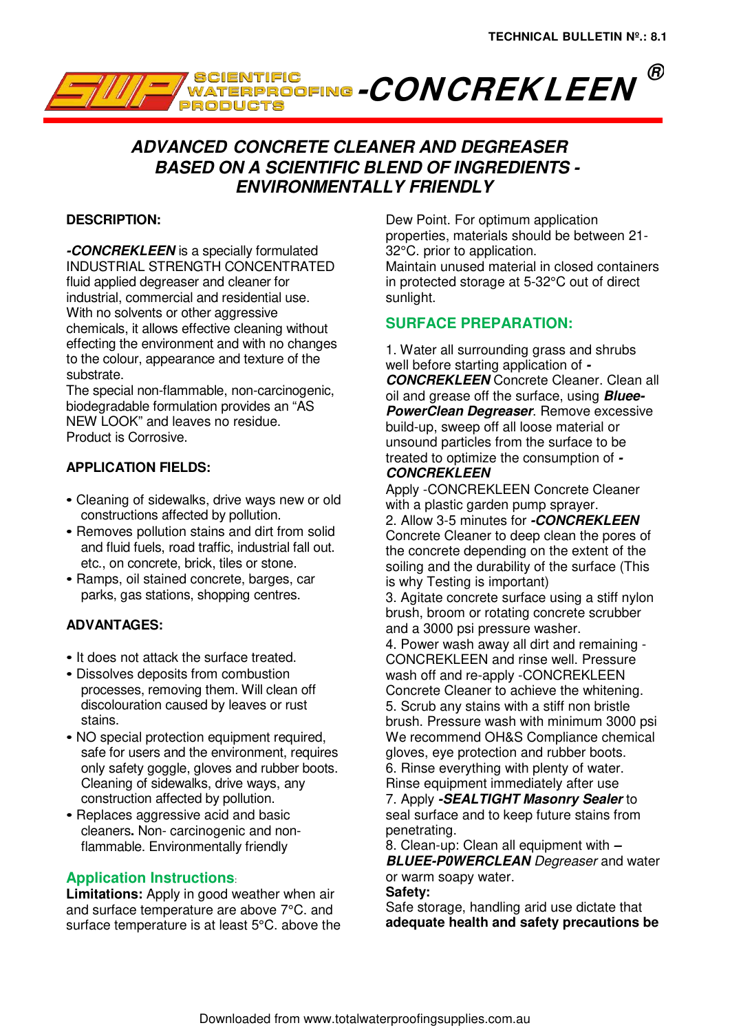

# **ADVANCED CONCRETE CLEANER AND DEGREASER BASED ON A SCIENTIFIC BLEND OF INGREDIENTS - ENVIRONMENTALLY FRIENDLY**

## **DESCRIPTION:**

**-CONCREKLEEN** is a specially formulated INDUSTRIAL STRENGTH CONCENTRATED fluid applied degreaser and cleaner for industrial, commercial and residential use. With no solvents or other aggressive chemicals, it allows effective cleaning without effecting the environment and with no changes to the colour, appearance and texture of the substrate.

The special non-flammable, non-carcinogenic, biodegradable formulation provides an "AS NEW LOOK" and leaves no residue. Product is Corrosive.

## **APPLICATION FIELDS:**

- Cleaning of sidewalks, drive ways new or old constructions affected by pollution.
- Removes pollution stains and dirt from solid and fluid fuels, road traffic, industrial fall out. etc., on concrete, brick, tiles or stone.
- Ramps, oil stained concrete, barges, car parks, gas stations, shopping centres.

#### **ADVANTAGES:**

- It does not attack the surface treated.
- Dissolves deposits from combustion processes, removing them. Will clean off discolouration caused by leaves or rust stains.
- NO special protection equipment required, safe for users and the environment, requires only safety goggle, gloves and rubber boots. Cleaning of sidewalks, drive ways, any construction affected by pollution.
- Replaces aggressive acid and basic cleaners**.** Non- carcinogenic and nonflammable. Environmentally friendly

## **Application Instructions**:

**Limitations:** Apply in good weather when air and surface temperature are above 7°C. and surface temperature is at least 5°C. above the Dew Point. For optimum application properties, materials should be between 21- 32°C. prior to application. Maintain unused material in closed containers in protected storage at 5-32°C out of direct sunlight.

#### **SURFACE PREPARATION:**

1. Water all surrounding grass and shrubs well before starting application of **- CONCREKLEEN** Concrete Cleaner. Clean all oil and grease off the surface, using **Bluee-PowerClean Degreaser**. Remove excessive build-up, sweep off all loose material or unsound particles from the surface to be treated to optimize the consumption of **- CONCREKLEEN**

Apply -CONCREKLEEN Concrete Cleaner with a plastic garden pump sprayer. 2. Allow 3-5 minutes for **-CONCREKLEEN**  Concrete Cleaner to deep clean the pores of the concrete depending on the extent of the soiling and the durability of the surface (This is why Testing is important)

3. Agitate concrete surface using a stiff nylon brush, broom or rotating concrete scrubber and a 3000 psi pressure washer.

4. Power wash away all dirt and remaining - CONCREKLEEN and rinse well. Pressure wash off and re-apply -CONCREKLEEN Concrete Cleaner to achieve the whitening. 5. Scrub any stains with a stiff non bristle brush. Pressure wash with minimum 3000 psi We recommend OH&S Compliance chemical gloves, eye protection and rubber boots. 6. Rinse everything with plenty of water. Rinse equipment immediately after use 7. Apply **-SEALTIGHT Masonry Sealer** to

seal surface and to keep future stains from penetrating.

8. Clean-up: Clean all equipment with **– BLUEE-POWERCLEAN** Degreaser and water or warm soapy water.

#### **Safety:**

Safe storage, handling arid use dictate that **adequate health and safety precautions be**